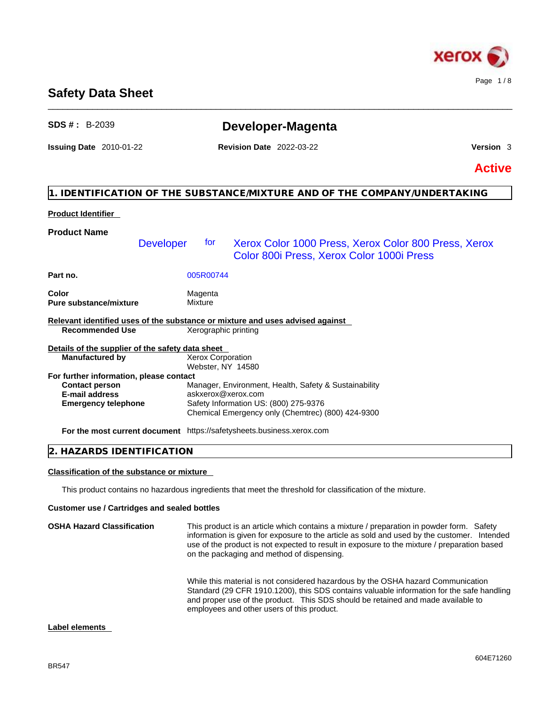

# **Safety Data Sheet**

| <b>SDS #: B-2039</b>                                                                                    |                      | Developer-Magenta                                                                                 |               |
|---------------------------------------------------------------------------------------------------------|----------------------|---------------------------------------------------------------------------------------------------|---------------|
| <b>Issuing Date 2010-01-22</b>                                                                          |                      | <b>Revision Date 2022-03-22</b>                                                                   | Version 3     |
|                                                                                                         |                      |                                                                                                   | <b>Active</b> |
|                                                                                                         |                      | 1. IDENTIFICATION OF THE SUBSTANCE/MIXTURE AND OF THE COMPANY/UNDERTAKING                         |               |
| <b>Product Identifier</b>                                                                               |                      |                                                                                                   |               |
| <b>Product Name</b>                                                                                     |                      |                                                                                                   |               |
| <b>Developer</b>                                                                                        | for                  | Xerox Color 1000 Press, Xerox Color 800 Press, Xerox<br>Color 800i Press, Xerox Color 1000i Press |               |
| Part no.                                                                                                | 005R00744            |                                                                                                   |               |
| Color<br><b>Pure substance/mixture</b>                                                                  | Magenta<br>Mixture   |                                                                                                   |               |
| Relevant identified uses of the substance or mixture and uses advised against<br><b>Recommended Use</b> | Xerographic printing |                                                                                                   |               |
| Details of the supplier of the safety data sheet                                                        |                      |                                                                                                   |               |
| <b>Manufactured by</b>                                                                                  | Xerox Corporation    |                                                                                                   |               |
|                                                                                                         | Webster, NY 14580    |                                                                                                   |               |
| For further information, please contact                                                                 |                      |                                                                                                   |               |
| <b>Contact person</b><br><b>E-mail address</b>                                                          |                      | Manager, Environment, Health, Safety & Sustainability<br>askxerox@xerox.com                       |               |
| <b>Emergency telephone</b>                                                                              |                      | Safety Information US: (800) 275-9376<br>Chemical Emergency only (Chemtrec) (800) 424-9300        |               |
| For the most current document https://safetysheets.business.xerox.com                                   |                      |                                                                                                   |               |
| 2. HAZARDS IDENTIFICATION                                                                               |                      |                                                                                                   |               |

\_\_\_\_\_\_\_\_\_\_\_\_\_\_\_\_\_\_\_\_\_\_\_\_\_\_\_\_\_\_\_\_\_\_\_\_\_\_\_\_\_\_\_\_\_\_\_\_\_\_\_\_\_\_\_\_\_\_\_\_\_\_\_\_\_\_\_\_\_\_\_\_\_\_\_\_\_\_\_\_\_\_\_\_\_\_\_\_\_\_\_\_\_\_

# **Classification of the substance or mixture**

This product contains no hazardous ingredients that meet the threshold for classification of the mixture.

# **Customer use / Cartridges and sealed bottles**

| <b>OSHA Hazard Classification</b> | This product is an article which contains a mixture / preparation in powder form. Safety<br>information is given for exposure to the article as sold and used by the customer. Intended<br>use of the product is not expected to result in exposure to the mixture / preparation based<br>on the packaging and method of dispensing. |
|-----------------------------------|--------------------------------------------------------------------------------------------------------------------------------------------------------------------------------------------------------------------------------------------------------------------------------------------------------------------------------------|
|                                   | While this material is not considered hazardous by the OSHA hazard Communication<br>Standard (29 CFR 1910.1200), this SDS contains valuable information for the safe handling<br>and proper use of the product. This SDS should be retained and made available to<br>employees and other users of this product.                      |

# **Label elements**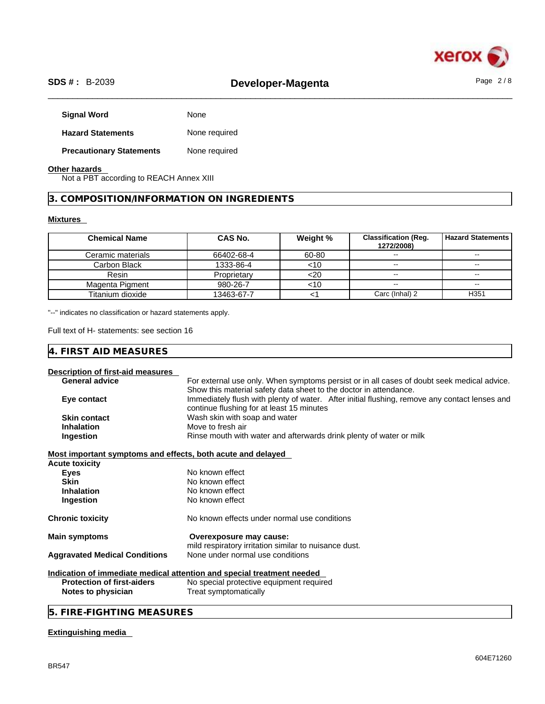

# \_\_\_\_\_\_\_\_\_\_\_\_\_\_\_\_\_\_\_\_\_\_\_\_\_\_\_\_\_\_\_\_\_\_\_\_\_\_\_\_\_\_\_\_\_\_\_\_\_\_\_\_\_\_\_\_\_\_\_\_\_\_\_\_\_\_\_\_\_\_\_\_\_\_\_\_\_\_\_\_\_\_\_\_\_\_\_\_\_\_\_\_\_\_ **SDS # :** B-2039 **Developer-Magenta** Page 2 / 8

| <b>Signal Word</b>              | None          |
|---------------------------------|---------------|
| <b>Hazard Statements</b>        | None required |
| <b>Precautionary Statements</b> | None required |

# **Other hazards**

Not a PBT according to REACH Annex XIII

**3. COMPOSITION/INFORMATION ON INGREDIENTS** 

# **Mixtures**

| <b>Chemical Name</b> | <b>CAS No.</b> | Weight % | <b>Classification (Req.</b><br>1272/2008) | <b>Hazard Statements</b> |
|----------------------|----------------|----------|-------------------------------------------|--------------------------|
| Ceramic materials    | 66402-68-4     | 60-80    | $\sim$ $\sim$                             | $\sim$ $\sim$            |
| Carbon Black         | 1333-86-4      | <10      | $\sim$                                    | $\sim$                   |
| Resin                | Proprietary    | <20      | $\sim$ $\sim$                             | $\sim$ $\sim$            |
| Magenta Pigment      | 980-26-7       | <10      | $\sim$ $\sim$                             | $\sim$                   |
| Titanium dioxide     | 13463-67-7     |          | Carc (Inhal) 2                            | H <sub>351</sub>         |

"--" indicates no classification or hazard statements apply.

Full text of H- statements: see section 16

# **Description of first-aid measures**

| <b>General advice</b>                                       | For external use only. When symptoms persist or in all cases of doubt seek medical advice.    |
|-------------------------------------------------------------|-----------------------------------------------------------------------------------------------|
|                                                             | Show this material safety data sheet to the doctor in attendance.                             |
| Eye contact                                                 | Immediately flush with plenty of water. After initial flushing, remove any contact lenses and |
|                                                             | continue flushing for at least 15 minutes                                                     |
| <b>Skin contact</b>                                         | Wash skin with soap and water                                                                 |
| <b>Inhalation</b>                                           | Move to fresh air                                                                             |
| Ingestion                                                   | Rinse mouth with water and afterwards drink plenty of water or milk                           |
| Most important symptoms and effects, both acute and delayed |                                                                                               |
| Acute toxicity                                              |                                                                                               |
| <b>Eyes</b>                                                 | No known effect                                                                               |
| <b>Skin</b>                                                 | No known effect                                                                               |
| <b>Inhalation</b>                                           | No known effect                                                                               |
| Ingestion                                                   | No known effect                                                                               |
| Chronic toxicity                                            | No known effects under normal use conditions                                                  |
| <b>Main symptoms</b>                                        | Overexposure may cause:                                                                       |
|                                                             | mild respiratory irritation similar to nuisance dust.                                         |
| <b>Aggravated Medical Conditions</b>                        | None under normal use conditions                                                              |
|                                                             | Indication of immediate medical attention and special treatment needed                        |
| <b>Protection of first-aiders</b>                           | No special protective equipment required                                                      |
| Notes to physician                                          | Treat symptomatically                                                                         |
|                                                             |                                                                                               |

# **5. FIRE-FIGHTING MEASURES**

# **Extinguishing media**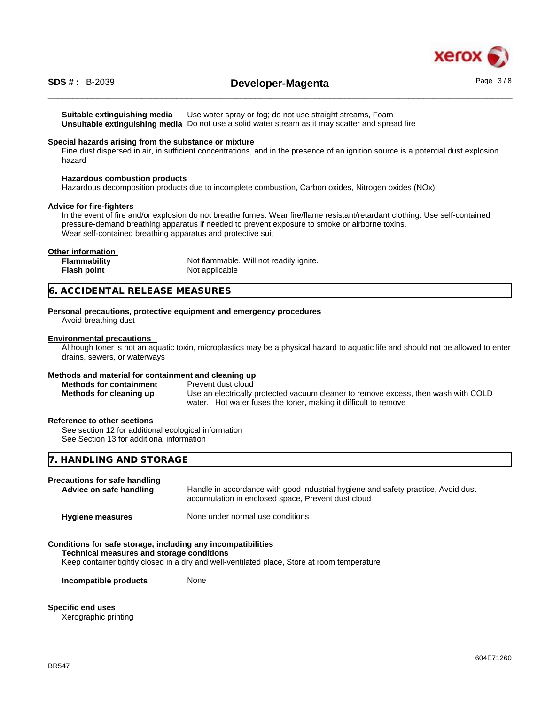

# \_\_\_\_\_\_\_\_\_\_\_\_\_\_\_\_\_\_\_\_\_\_\_\_\_\_\_\_\_\_\_\_\_\_\_\_\_\_\_\_\_\_\_\_\_\_\_\_\_\_\_\_\_\_\_\_\_\_\_\_\_\_\_\_\_\_\_\_\_\_\_\_\_\_\_\_\_\_\_\_\_\_\_\_\_\_\_\_\_\_\_\_\_\_ **SDS # :** B-2039 **Developer-Magenta** Page 3 / 8

**Suitable extinguishing media** Use water spray or fog; do not use straight streams, Foam **Unsuitable extinguishing media** Do not use a solid water stream as it may scatterand spread fire

# **Special hazards arising from the substance or mixture**

Fine dust dispersed in air, in sufficient concentrations, and in the presence of an ignition source is a potential dust explosion hazard

# **Hazardous combustion products**

Hazardous decomposition products due to incomplete combustion, Carbon oxides, Nitrogen oxides (NOx)

## **Advice for fire-fighters**

In the event of fire and/or explosion do not breathe fumes. Wear fire/flame resistant/retardant clothing. Use self-contained pressure-demand breathing apparatus if needed to prevent exposure to smoke or airborne toxins. Wear self-contained breathing apparatus and protective suit

# **Other information**

| Flammability       | Not flammable. Will not readily ignite. |
|--------------------|-----------------------------------------|
| <b>Flash point</b> | Not applicable                          |

# **6. ACCIDENTAL RELEASE MEASURES**

#### **Personal precautions, protective equipment and emergency procedures**

Avoid breathing dust

#### **Environmental precautions**

Although toner is not an aquatic toxin, microplastics may be a physical hazard to aquatic life and should not be allowed to enter drains, sewers, or waterways

#### **Methods and material for containment and cleaning up**

| <b>Methods for containment</b> | Prevent dust cloud                                                                 |
|--------------------------------|------------------------------------------------------------------------------------|
| Methods for cleaning up        | Use an electrically protected vacuum cleaner to remove excess, then wash with COLD |
|                                | water. Hot water fuses the toner, making it difficult to remove                    |

# **Reference to other sections**

See section 12 for additional ecological information See Section 13 for additional information

# **7. HANDLING AND STORAGE**

# **Precautions for safe handling**

| Advice on safe handling | Handle in accordance with good industrial hygiene and safety practice, Avoid dust<br>accumulation in enclosed space, Prevent dust cloud |
|-------------------------|-----------------------------------------------------------------------------------------------------------------------------------------|
| <b>Hygiene measures</b> | None under normal use conditions                                                                                                        |

# **Conditions for safe storage, including any incompatibilities**

#### **Technical measures and storage conditions**

Keep container tightly closed in a dry and well-ventilated place, Store at room temperature

**Incompatible products** None

**Specific end uses** 

Xerographic printing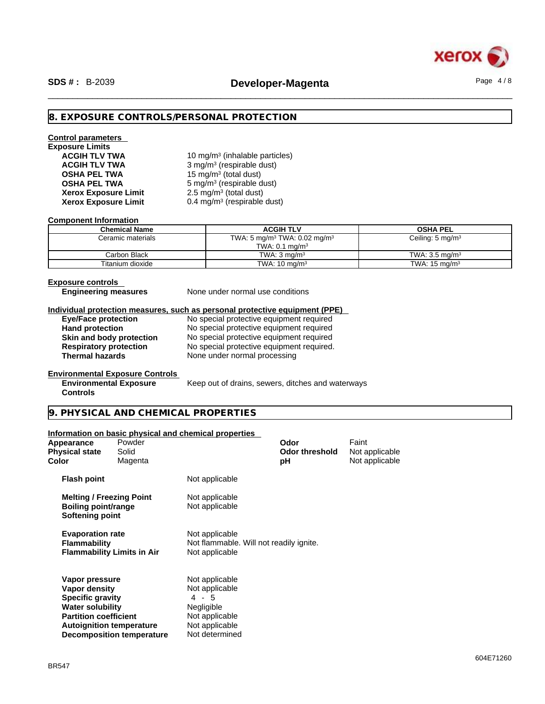

# **8. EXPOSURE CONTROLS/PERSONAL PROTECTION**

# **Control parameters Exposure Limits**

**ACGIH TLV TWA** 10 mg/m<sup>3</sup> (inhalable particles) **ACGIH TLV TWA** 3 mg/m<sup>3</sup> (respirable dust) **OSHA PEL TWA** 15 mg/m<sup>3</sup> (total dust) **OSHA PEL TWA** 5 mg/m<sup>3</sup> (respirable dust)  $2.5 \text{ mg/m}^3$  (total dust) **Xerox Exposure Limit** 0.4 mg/m<sup>3</sup> (respirable dust)

#### **Component Information**

**Xerox Exposure Limit** 

| <b>Chemical Name</b> | <b>ACGIH TLV</b>                                     | <b>OSHA PEL</b>             |
|----------------------|------------------------------------------------------|-----------------------------|
| Ceramic materials    | TWA: 5 mg/m <sup>3</sup> TWA: 0.02 mg/m <sup>3</sup> | Ceiling: $5 \text{ mg/m}^3$ |
|                      | TWA: $0.1 \text{ mg/m}^3$                            |                             |
| Carbon Black         | TWA: $3 \text{ ma/m}^3$                              | TWA: $3.5 \text{ ma/m}^3$   |
| Titanium dioxide     | TWA: $10 \text{ ma/m}^3$                             | TWA: $15 \text{ ma/m}^3$    |

#### **Exposure controls**

**Engineering measures** None under normal use conditions

#### **Individual protection measures, such as personal protective equipment (PPE)**

**Eye/Face protection**<br> **Example 20 No special protective equipment required**<br>
No special protective equipment required No special protective equipment required **Skin and body protection** No special protective equipment required **Respiratory protection** No special protective equipment required. **Respiratory protection** No special protective equipment required.<br> **Thermal hazards** None under normal processing **None under normal processing** 

# **Environmental Exposure Controls**

**Environmental Exposure Controls** 

Keep out of drains, sewers, ditches and waterways

# **9. PHYSICAL AND CHEMICAL PROPERTIES**

#### **Information on basic physical and chemical properties**

| Appearance<br><b>Physical state</b><br>Color                                                                                                             | Powder<br>Solid<br>Magenta       |                                                                                                               | Odor<br><b>Odor threshold</b><br>рH | Faint<br>Not applicable<br>Not applicable |  |
|----------------------------------------------------------------------------------------------------------------------------------------------------------|----------------------------------|---------------------------------------------------------------------------------------------------------------|-------------------------------------|-------------------------------------------|--|
| <b>Flash point</b>                                                                                                                                       |                                  | Not applicable                                                                                                |                                     |                                           |  |
| <b>Melting / Freezing Point</b><br>Boiling point/range<br>Softening point                                                                                |                                  | Not applicable<br>Not applicable                                                                              |                                     |                                           |  |
| <b>Evaporation rate</b><br><b>Flammability</b><br><b>Flammability Limits in Air</b>                                                                      |                                  | Not applicable<br>Not flammable. Will not readily ignite.<br>Not applicable                                   |                                     |                                           |  |
| Vapor pressure<br>Vapor density<br><b>Specific gravity</b><br><b>Water solubility</b><br><b>Partition coefficient</b><br><b>Autoignition temperature</b> | <b>Decomposition temperature</b> | Not applicable<br>Not applicable<br>4 - 5<br>Negligible<br>Not applicable<br>Not applicable<br>Not determined |                                     |                                           |  |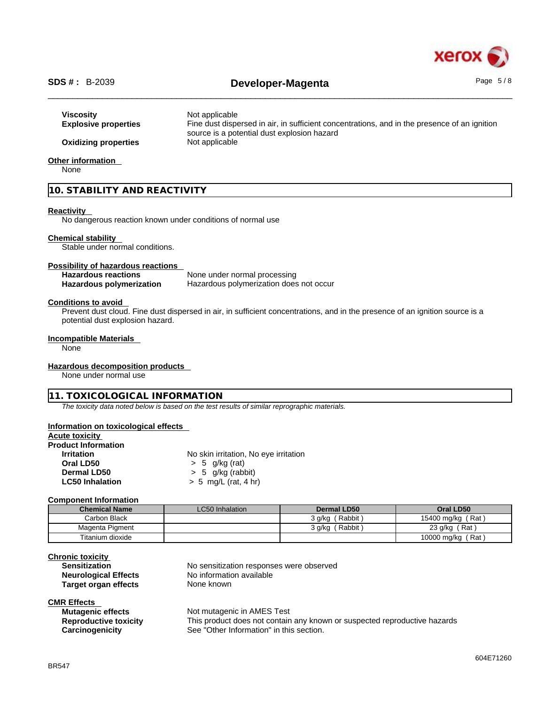

# \_\_\_\_\_\_\_\_\_\_\_\_\_\_\_\_\_\_\_\_\_\_\_\_\_\_\_\_\_\_\_\_\_\_\_\_\_\_\_\_\_\_\_\_\_\_\_\_\_\_\_\_\_\_\_\_\_\_\_\_\_\_\_\_\_\_\_\_\_\_\_\_\_\_\_\_\_\_\_\_\_\_\_\_\_\_\_\_\_\_\_\_\_\_ **SDS # :** B-2039 **Developer-Magenta** Page 5 / 8

| Viscositv<br><b>Explosive properties</b> | Not applicable<br>Fine dust dispersed in air, in sufficient concentrations, and in the presence of an ignition<br>source is a potential dust explosion hazard |
|------------------------------------------|---------------------------------------------------------------------------------------------------------------------------------------------------------------|
| <b>Oxidizing properties</b>              | Not applicable                                                                                                                                                |

# **Other information**

None

# **10. STABILITY AND REACTIVITY**

# **Reactivity**

No dangerous reaction known under conditions of normal use

# **Chemical stability**

Stable under normal conditions.

#### **Possibility of hazardous reactions**

| <b>Hazardous reactions</b>      | None under normal processing            |
|---------------------------------|-----------------------------------------|
| <b>Hazardous polymerization</b> | Hazardous polymerization does not occur |

#### **Conditions to avoid**

Prevent dust cloud. Fine dust dispersed in air, in sufficient concentrations, and in the presence of an ignition source is a potential dust explosion hazard.

# **Incompatible Materials**

None

# **Hazardous decomposition products**

None under normal use

# **11. TOXICOLOGICAL INFORMATION**

*The toxicity data noted below is based on the test results of similar reprographic materials.* 

# **Information on toxicological effects**

# **Acute toxicity**

| <b>Product Information</b> |                                       |
|----------------------------|---------------------------------------|
| <b>Irritation</b>          | No skin irritation, No eye irritation |
| Oral LD50                  | $> 5$ g/kg (rat)                      |
| Dermal LD50                | $> 5$ g/kg (rabbit)                   |
| <b>LC50 Inhalation</b>     | $> 5$ mg/L (rat, 4 hr)                |

## **Component Information**

| <b>Chemical Name</b> | <b>LC50 Inhalation</b> | Dermal LD50          | Oral LD50         |
|----------------------|------------------------|----------------------|-------------------|
| Carbon Black         |                        | (Rabbit)<br>3 a/ka ( | 15400 mg/kg (Rat) |
| Magenta Pigment      |                        | `Rabbit,<br>3 g/kg   | (Rat)<br>23 g/kg  |
| Titanium dioxide     |                        |                      | 10000 mg/kg (Rat) |

# **Chronic toxicity**

| <b>Sensitization</b>        |  |
|-----------------------------|--|
| <b>Neurological Effects</b> |  |
| Target organ effects        |  |

# **CMR Effects**

| <b>Mutagenic effects</b>     |
|------------------------------|
| <b>Reproductive toxicity</b> |
| Carcinogenicity              |

No sensitization responses were observed **No information available None known** 

**Not mutagenic in AMES Test** This product does not contain any known or suspected reproductive hazards See "Other Information" in this section.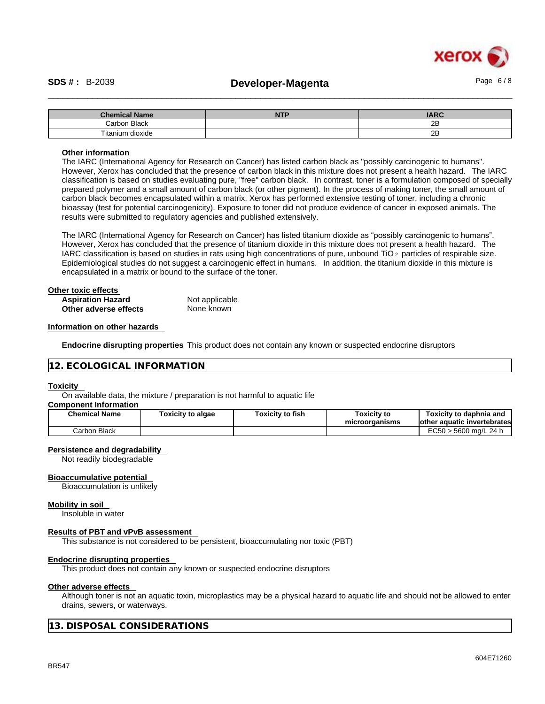# xerox

# \_\_\_\_\_\_\_\_\_\_\_\_\_\_\_\_\_\_\_\_\_\_\_\_\_\_\_\_\_\_\_\_\_\_\_\_\_\_\_\_\_\_\_\_\_\_\_\_\_\_\_\_\_\_\_\_\_\_\_\_\_\_\_\_\_\_\_\_\_\_\_\_\_\_\_\_\_\_\_\_\_\_\_\_\_\_\_\_\_\_\_\_\_\_ **SDS # :** B-2039 **Developer-Magenta** Page 6 / 8

| <b>Chemical Name</b> | <b>NTP</b> | <b>IARC</b> |
|----------------------|------------|-------------|
| Carbon Black         |            | 2E          |
| Fitanium dioxide     |            | 0D<br>40    |

# **Other information**

The IARC (International Agency for Research on Cancer) has listed carbon black as "possibly carcinogenic to humans". However, Xerox has concluded that the presence of carbon black in this mixture does not present a health hazard. The IARC classification is based on studies evaluating pure, "free" carbon black. In contrast, toner is a formulation composed of specially prepared polymer and a small amount of carbon black (or other pigment). In the process of making toner, the small amount of carbon black becomes encapsulated within a matrix. Xerox has performed extensive testing of toner, including a chronic bioassay (test for potential carcinogenicity). Exposure to toner did not produce evidence of cancer in exposed animals. The results were submitted to regulatory agencies and published extensively.

The IARC (International Agency for Research on Cancer) has listed titanium dioxide as "possibly carcinogenic to humans". However, Xerox has concluded that the presence of titanium dioxide in this mixture does not present a health hazard. The IARC classification is based on studies in rats using high concentrations of pure, unbound TiO 2 particles of respirable size. Epidemiological studies do not suggest a carcinogenic effect in humans. In addition, the titanium dioxide in this mixture is encapsulated in a matrix or bound to the surface of the toner.

| Other toxic effects      |                |  |
|--------------------------|----------------|--|
| <b>Aspiration Hazard</b> | Not applicable |  |
| Other adverse effects    | None known     |  |

# **Information on other hazards**

**Endocrine disrupting properties** This product does not contain any known or suspected endocrine disruptors

# **12. ECOLOGICAL INFORMATION**

## **Toxicity**

On available data, the mixture / preparation is not harmful to aquatic life

# **Component Information**

| <b>Chemical Name</b> | <b>Foxicity to algae</b> | Toxicity to fish | Toxicitv to<br>microorganisms | Toxicitv to daphnia and<br>lother aquatic invertebrates |
|----------------------|--------------------------|------------------|-------------------------------|---------------------------------------------------------|
| Carbon Black         |                          |                  |                               | $EC50 > 5600$ ma/L 24 h                                 |

# **Persistence and degradability**

Not readily biodegradable

#### **Bioaccumulative potential**

Bioaccumulation is unlikely

#### **Mobility in soil**

Insoluble in water

#### **Results of PBT and vPvB assessment**

This substance is not considered to be persistent, bioaccumulating nor toxic (PBT)

## **Endocrine disrupting properties**

This product does not contain any known or suspected endocrine disruptors

## **Other adverse effects**

Although toner is not an aquatic toxin, microplastics may be a physical hazard to aquatic life and should not be allowed to enter drains, sewers, or waterways.

**13. DISPOSAL CONSIDERATIONS**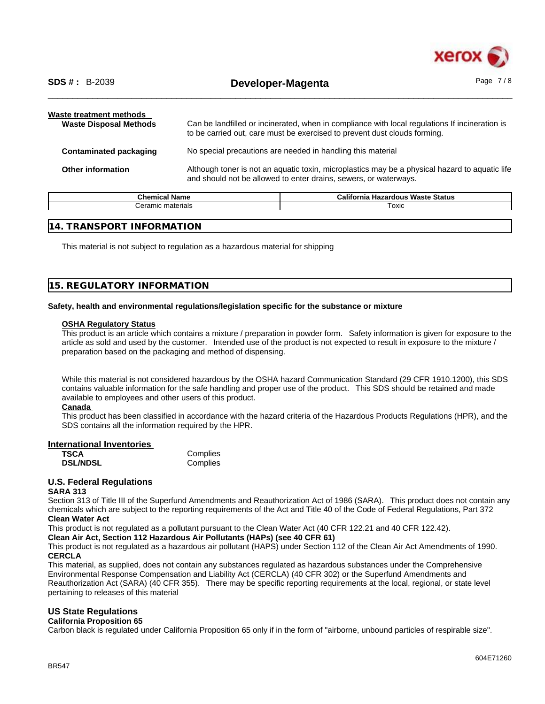

| Waste treatment methods<br><b>Waste Disposal Methods</b> | Can be landfilled or incinerated, when in compliance with local regulations If incineration is<br>to be carried out, care must be exercised to prevent dust clouds forming. |
|----------------------------------------------------------|-----------------------------------------------------------------------------------------------------------------------------------------------------------------------------|
| <b>Contaminated packaging</b>                            | No special precautions are needed in handling this material                                                                                                                 |
| <b>Other information</b>                                 | Although toner is not an aquatic toxin, microplastics may be a physical hazard to aquatic life<br>and should not be allowed to enter drains, sewers, or waterways.          |

| n.<br>Chemical Name    | California<br><b>: Waste Status</b><br><b>Hazardous</b> |  |
|------------------------|---------------------------------------------------------|--|
| : materials<br>Jeramic | Toxic                                                   |  |
|                        |                                                         |  |

# **14. TRANSPORT INFORMATION**

This material is not subject to regulation as a hazardous material for shipping

# **15. REGULATORY INFORMATION**

# **Safety, health and environmental regulations/legislation specific for the substance or mixture**

## **OSHA Regulatory Status**

This product is an article which contains a mixture / preparation in powder form. Safety information is given for exposure to the article as sold and used by the customer. Intended use of the product is not expected to result in exposure to the mixture / preparation based on the packaging and method of dispensing.

While this material is not considered hazardous by the OSHA hazard Communication Standard (29 CFR 1910.1200), this SDS contains valuable information for the safe handling and proper use of the product. This SDS should be retained and made available to employees and other users of this product.

## **Canada**

This product has been classified in accordance with the hazard criteria of the Hazardous Products Regulations (HPR), and the SDS contains all the information required by the HPR.

# **International Inventories**

| TSCA            | Complies |
|-----------------|----------|
| <b>DSL/NDSL</b> | Complies |

# **U.S. Federal Regulations**

# **SARA 313**

Section 313 of Title III of the Superfund Amendments and Reauthorization Act of 1986 (SARA). This product does not contain any chemicals which are subject to the reporting requirements of the Act and Title 40 of the Code of Federal Regulations, Part 372 **Clean Water Act**

This product is not regulated as a pollutant pursuant to the Clean Water Act (40 CFR 122.21 and 40 CFR 122.42).

## **Clean Air Act,Section 112 Hazardous Air Pollutants (HAPs) (see 40 CFR 61)**

This product is not regulated as a hazardous air pollutant (HAPS) under Section 112 of the Clean Air Act Amendments of 1990. **CERCLA**

This material, as supplied, does not contain any substances regulated as hazardous substances under the Comprehensive Environmental Response Compensation and Liability Act (CERCLA) (40 CFR 302) or the Superfund Amendments and Reauthorization Act (SARA) (40 CFR 355). There may be specific reporting requirements at the local, regional, or state level pertaining to releases of this material

# **US State Regulations**

## **California Proposition 65**

Carbon black is regulated under California Proposition 65 only if in the form of "airborne, unbound particles of respirable size".